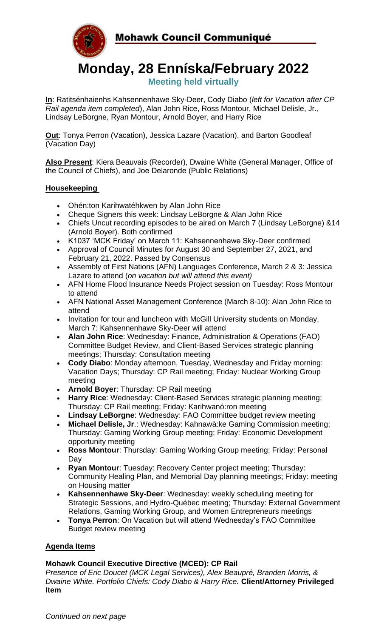Mohawk Council Communiqué



**Monday, 28 Enníska/February 2022 Meeting held virtually**

**In**: Ratitsénhaienhs Kahsennenhawe Sky-Deer, Cody Diabo (*left for Vacation after CP Rail agenda item completed*), Alan John Rice, Ross Montour, Michael Delisle, Jr., Lindsay LeBorgne, Ryan Montour, Arnold Boyer, and Harry Rice

**Out**: Tonya Perron (Vacation), Jessica Lazare (Vacation), and Barton Goodleaf (Vacation Day)

**Also Present**: Kiera Beauvais (Recorder), Dwaine White (General Manager, Office of the Council of Chiefs), and Joe Delaronde (Public Relations)

### **Housekeeping**

- Ohén:ton Karihwatéhkwen by Alan John Rice
- Cheque Signers this week: Lindsay LeBorgne & Alan John Rice
- Chiefs Uncut recording episodes to be aired on March 7 (Lindsay LeBorgne) &14 (Arnold Boyer). Both confirmed
- K1037 'MCK Friday' on March 11: Kahsennenhawe Sky-Deer confirmed
- Approval of Council Minutes for August 30 and September 27, 2021, and February 21, 2022. Passed by Consensus
- Assembly of First Nations (AFN) Languages Conference, March 2 & 3: Jessica Lazare to attend (*on vacation but will attend this event)*
- AFN Home Flood Insurance Needs Project session on Tuesday: Ross Montour to attend
- AFN National Asset Management Conference (March 8-10): Alan John Rice to attend
- Invitation for tour and luncheon with McGill University students on Monday, March 7: Kahsennenhawe Sky-Deer will attend
- **Alan John Rice**: Wednesday: Finance, Administration & Operations (FAO) Committee Budget Review, and Client-Based Services strategic planning meetings; Thursday: Consultation meeting
- **Cody Diabo**: Monday afternoon, Tuesday, Wednesday and Friday morning: Vacation Days; Thursday: CP Rail meeting; Friday: Nuclear Working Group meeting
- **Arnold Boyer**: Thursday: CP Rail meeting
- **Harry Rice**: Wednesday: Client-Based Services strategic planning meeting; Thursday: CP Rail meeting; Friday: Karihwanó:ron meeting
- **Lindsay LeBorgne**: Wednesday: FAO Committee budget review meeting
- **Michael Delisle, Jr**.: Wednesday: Kahnawà:ke Gaming Commission meeting; Thursday: Gaming Working Group meeting; Friday: Economic Development opportunity meeting
- **Ross Montour**: Thursday: Gaming Working Group meeting; Friday: Personal Day
- **Ryan Montour**: Tuesday: Recovery Center project meeting; Thursday: Community Healing Plan, and Memorial Day planning meetings; Friday: meeting on Housing matter
- **Kahsennenhawe Sky-Deer**: Wednesday: weekly scheduling meeting for Strategic Sessions, and Hydro-Québec meeting; Thursday: External Government Relations, Gaming Working Group, and Women Entrepreneurs meetings
- **Tonya Perron**: On Vacation but will attend Wednesday's FAO Committee Budget review meeting

# **Agenda Items**

# **Mohawk Council Executive Directive (MCED): CP Rail**

*Presence of Eric Doucet (MCK Legal Services), Alex Beaupré, Branden Morris, & Dwaine White. Portfolio Chiefs: Cody Diabo & Harry Rice.* **Client/Attorney Privileged Item**